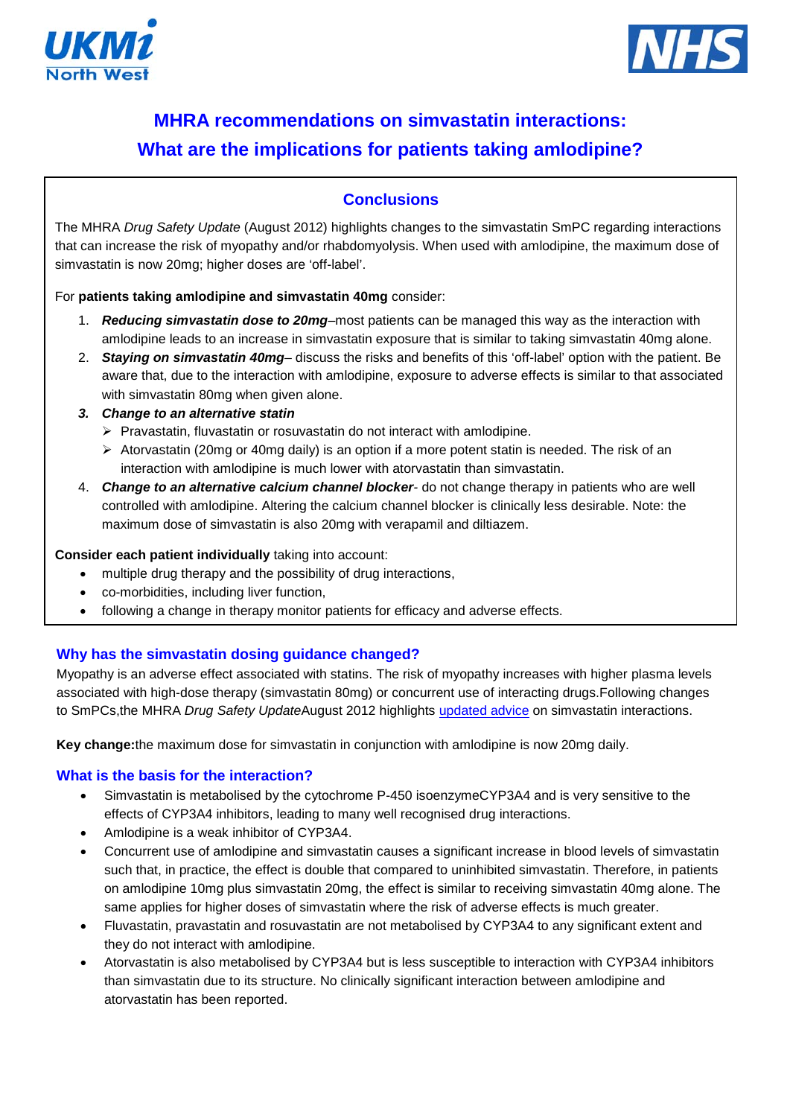



# **MHRA recommendations on simvastatin interactions: What are the implications for patients taking amlodipine?**

## **Conclusions**

The MHRA *Drug Safety Update* (August 2012) highlights changes to the simvastatin SmPC regarding interactions that can increase the risk of myopathy and/or rhabdomyolysis. When used with amlodipine, the maximum dose of simvastatin is now 20mg; higher doses are 'off-label'.

For **patients taking amlodipine and simvastatin 40mg** consider:

- 1. *Reducing simvastatin dose to 20mg*–most patients can be managed this way as the interaction with amlodipine leads to an increase in simvastatin exposure that is similar to taking simvastatin 40mg alone.
- 2. *Staying on simvastatin 40mg* discuss the risks and benefits of this 'off-label' option with the patient. Be aware that, due to the interaction with amlodipine, exposure to adverse effects is similar to that associated with simvastatin 80mg when given alone.
- *3. Change to an alternative statin*
	- $\triangleright$  Pravastatin, fluvastatin or rosuvastatin do not interact with amlodipine.
	- $\triangleright$  Atorvastatin (20mg or 40mg daily) is an option if a more potent statin is needed. The risk of an interaction with amlodipine is much lower with atorvastatin than simvastatin.
- 4. *Change to an alternative calcium channel blocker-* do not change therapy in patients who are well controlled with amlodipine. Altering the calcium channel blocker is clinically less desirable. Note: the maximum dose of simvastatin is also 20mg with verapamil and diltiazem.

#### **Consider each patient individually** taking into account:

- multiple drug therapy and the possibility of drug interactions,
- co-morbidities, including liver function,
- following a change in therapy monitor patients for efficacy and adverse effects.

## **Why has the simvastatin dosing guidance changed?**

Myopathy is an adverse effect associated with statins. The risk of myopathy increases with higher plasma levels associated with high-dose therapy (simvastatin 80mg) or concurrent use of interacting drugs.Following changes to SmPCs,the MHRA *Drug Safety Update*August 2012 highlights [updated advice](http://www.mhra.gov.uk/Safetyinformation/DrugSafetyUpdate/CON180637) on simvastatin interactions.

**Key change:**the maximum dose for simvastatin in conjunction with amlodipine is now 20mg daily.

## **What is the basis for the interaction?**

- Simvastatin is metabolised by the cytochrome P-450 isoenzymeCYP3A4 and is very sensitive to the effects of CYP3A4 inhibitors, leading to many well recognised drug interactions.
- Amlodipine is a weak inhibitor of CYP3A4.
- Concurrent use of amlodipine and simvastatin causes a significant increase in blood levels of simvastatin such that, in practice, the effect is double that compared to uninhibited simvastatin. Therefore, in patients on amlodipine 10mg plus simvastatin 20mg, the effect is similar to receiving simvastatin 40mg alone. The same applies for higher doses of simvastatin where the risk of adverse effects is much greater.
- Fluvastatin, pravastatin and rosuvastatin are not metabolised by CYP3A4 to any significant extent and they do not interact with amlodipine.
- Atorvastatin is also metabolised by CYP3A4 but is less susceptible to interaction with CYP3A4 inhibitors than simvastatin due to its structure. No clinically significant interaction between amlodipine and atorvastatin has been reported.